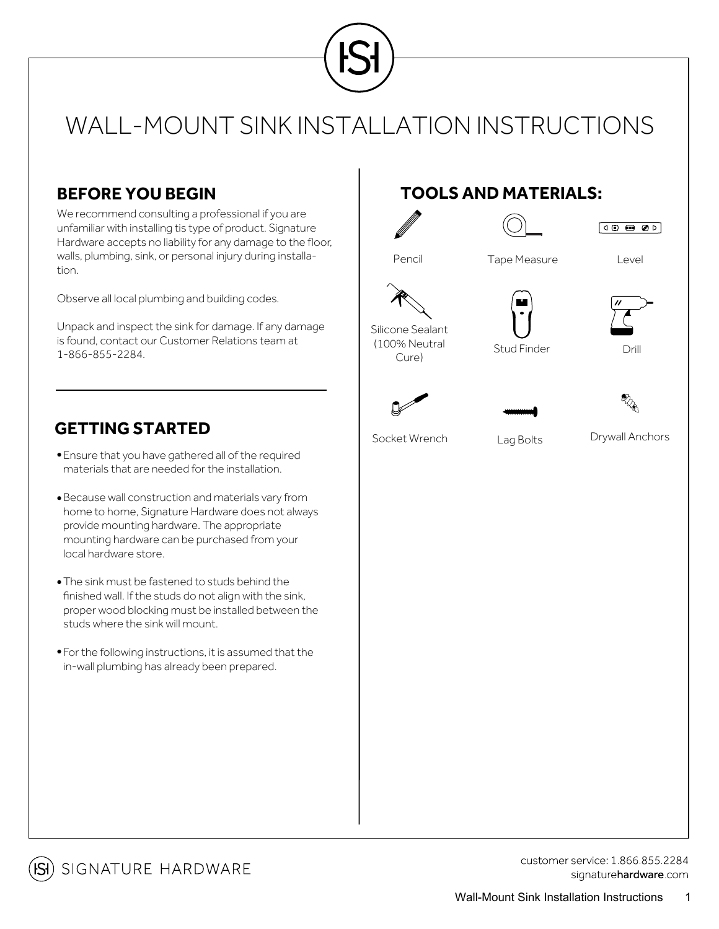

## WALL-MOUNT SINK INSTALLATION INSTRUCTIONS

### **BEFORE YOU BEGIN**

We recommend consulting a professional if you are unfamiliar with installing tis type of product. Signature Hardware accepts no liability for any damage to the floor, walls, plumbing, sink, or personal injury during installation.

Observe all local plumbing and building codes.

Unpack and inspect the sink for damage. If any damage is found, contact our Customer Relations team at 1-866-855-2284.

#### **GETTING STARTED**

- Ensure that you have gathered all of the required materials that are needed for the installation.
- Because wall construction and materials vary from home to home, Signature Hardware does not always provide mounting hardware. The appropriate mounting hardware can be purchased from your local hardware store.
- The sink must be fastened to studs behind the finished wall. If the studs do not align with the sink, proper wood blocking must be installed between the studs where the sink will mount.
- For the following instructions, it is assumed that the in-wall plumbing has already been prepared.

## **TOOLS AND MATERIALS:**







Stud Finder **Drill** 





Cure)

Socket Wrench Lag Bolts Drywall Anchors



**isi**) signature hardware

customer service: 1 866 855 2284 signaturehardware.com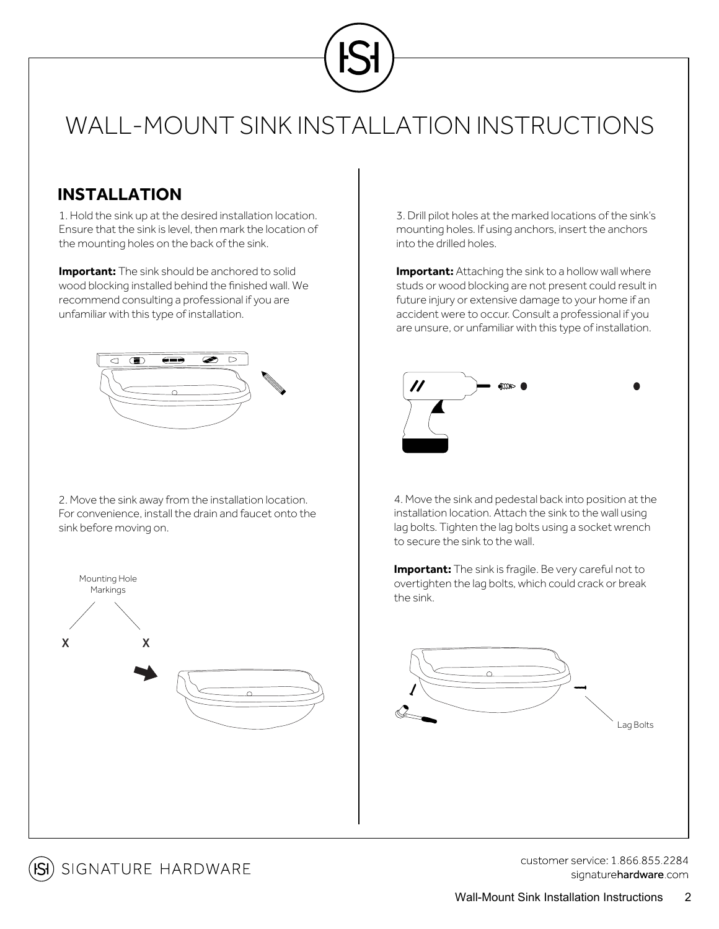

# WALL-MOUNT SINK INSTALLATION INSTRUCTIONS

### **INSTALLATION**

1. Hold the sink up at the desired installation location. Ensure that the sink is level, then mark the location of the mounting holes on the back of the sink.

**Important:** The sink should be anchored to solid wood blocking installed behind the finished wall. We recommend consulting a professional if you are unfamiliar with this type of installation.



2. Move the sink away from the installation location. For convenience, install the drain and faucet onto the sink before moving on.



3. Drill pilot holes at the marked locations of the sink's mounting holes. If using anchors, insert the anchors into the drilled holes.

**Important:** Attaching the sink to a hollow wall where studs or wood blocking are not present could result in future injury or extensive damage to your home if an accident were to occur. Consult a professional if you are unsure, or unfamiliar with this type of installation.



4. Move the sink and pedestal back into position at the installation location. Attach the sink to the wall using lag bolts. Tighten the lag bolts using a socket wrench to secure the sink to the wall.

**Important:** The sink is fragile. Be very careful not to overtighten the lag bolts, which could crack or break the sink.





customer service: 1 866 855 2284 signaturehardware.com